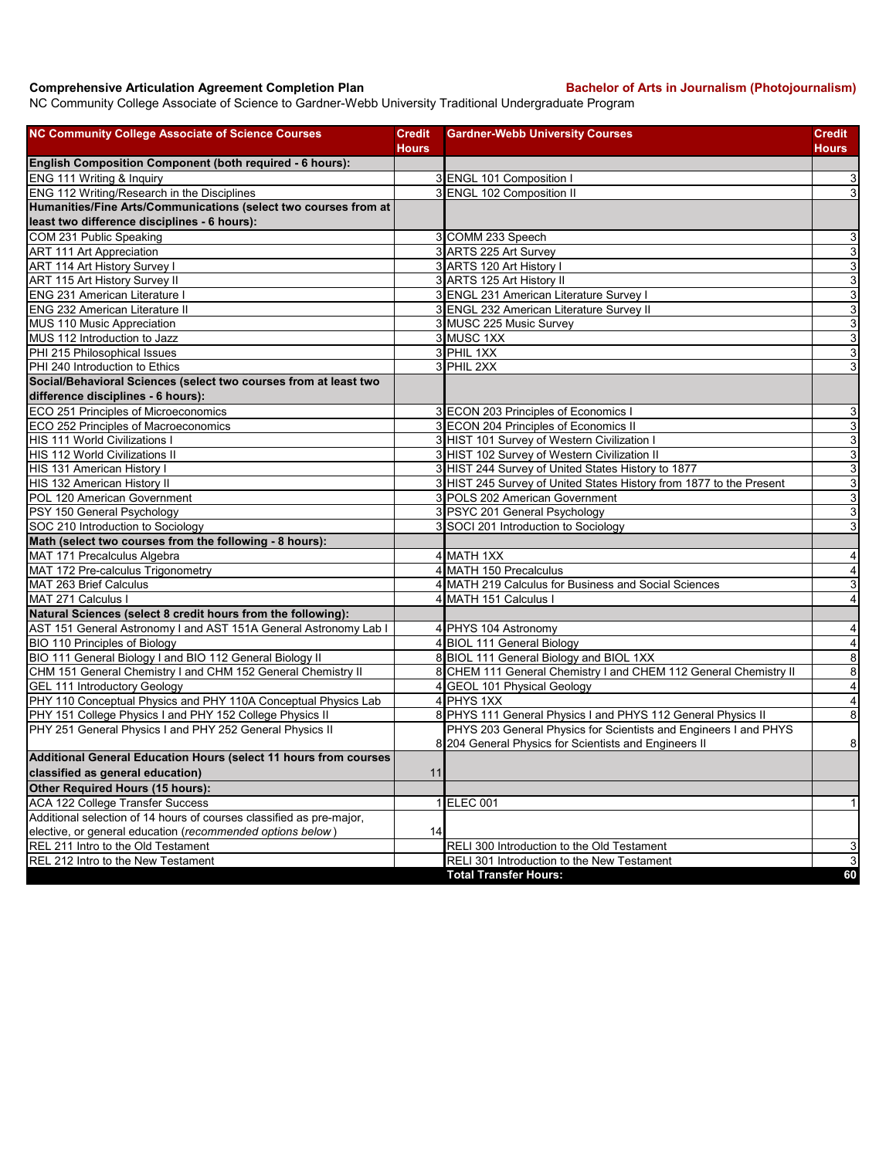## **Comprehensive Articulation Agreement Completion Plan Bachelor of Arts in Journalism (Photojournalism)**

NC Community College Associate of Science to Gardner-Webb University Traditional Undergraduate Program

| <b>NC Community College Associate of Science Courses</b>             | <b>Credit</b> | <b>Gardner-Webb University Courses</b>                              | Credit                    |
|----------------------------------------------------------------------|---------------|---------------------------------------------------------------------|---------------------------|
|                                                                      | <b>Hours</b>  |                                                                     | Hours                     |
| English Composition Component (both required - 6 hours):             |               |                                                                     |                           |
| ENG 111 Writing & Inquiry                                            |               | 3 ENGL 101 Composition I                                            | 3                         |
| ENG 112 Writing/Research in the Disciplines                          |               | 3 ENGL 102 Composition II                                           | $\ensuremath{\mathsf{3}}$ |
| Humanities/Fine Arts/Communications (select two courses from at      |               |                                                                     |                           |
| least two difference disciplines - 6 hours):                         |               |                                                                     |                           |
| COM 231 Public Speaking                                              |               | 3 COMM 233 Speech                                                   | 3                         |
| <b>ART 111 Art Appreciation</b>                                      |               | 3 ARTS 225 Art Survey                                               | $\overline{3}$            |
| ART 114 Art History Survey I                                         |               | 3 ARTS 120 Art History I                                            | $\overline{3}$            |
| ART 115 Art History Survey II                                        |               | 3 ARTS 125 Art History II                                           | ω                         |
| ENG 231 American Literature I                                        |               | 3 ENGL 231 American Literature Survey I                             | $\mathsf 3$               |
| ENG 232 American Literature II                                       |               | 3 ENGL 232 American Literature Survey II                            | $\overline{3}$            |
| MUS 110 Music Appreciation                                           |               | 3 MUSC 225 Music Survey                                             | $\overline{3}$            |
| MUS 112 Introduction to Jazz                                         |               | 3 MUSC 1XX                                                          | $\mathsf 3$               |
| PHI 215 Philosophical Issues                                         |               | 3 PHIL 1XX                                                          | ω                         |
| PHI 240 Introduction to Ethics                                       |               | 3 PHIL 2XX                                                          | 3                         |
| Social/Behavioral Sciences (select two courses from at least two     |               |                                                                     |                           |
| difference disciplines - 6 hours):                                   |               |                                                                     |                           |
| ECO 251 Principles of Microeconomics                                 |               | 3 ECON 203 Principles of Economics I                                | 3                         |
| ECO 252 Principles of Macroeconomics                                 |               | 3 ECON 204 Principles of Economics II                               | $\ensuremath{\mathsf{3}}$ |
| <b>HIS 111 World Civilizations I</b>                                 |               | 3 HIST 101 Survey of Western Civilization I                         | $\mathsf 3$               |
| HIS 112 World Civilizations II                                       |               | 3 HIST 102 Survey of Western Civilization II                        | $\mathbf{3}$              |
| HIS 131 American History I                                           |               | 3 HIST 244 Survey of United States History to 1877                  | ω                         |
| HIS 132 American History II                                          |               | 3 HIST 245 Survey of United States History from 1877 to the Present | $\mathsf 3$               |
| POL 120 American Government                                          |               | 3 POLS 202 American Government                                      | $\ensuremath{\mathsf{3}}$ |
| PSY 150 General Psychology                                           |               | 3 PSYC 201 General Psychology                                       | 3                         |
| SOC 210 Introduction to Sociology                                    |               | 3 SOCI 201 Introduction to Sociology                                | 3                         |
| Math (select two courses from the following - 8 hours):              |               |                                                                     |                           |
| MAT 171 Precalculus Algebra                                          |               | 4 MATH 1XX                                                          | $\overline{4}$            |
| MAT 172 Pre-calculus Trigonometry                                    |               | 4 MATH 150 Precalculus                                              | $\overline{\mathbf{4}}$   |
| MAT 263 Brief Calculus                                               |               | 4 MATH 219 Calculus for Business and Social Sciences                | $\mathsf 3$               |
| MAT 271 Calculus I                                                   |               | 4 MATH 151 Calculus I                                               | $\overline{4}$            |
| Natural Sciences (select 8 credit hours from the following):         |               |                                                                     |                           |
| AST 151 General Astronomy I and AST 151A General Astronomy Lab I     |               | 4 PHYS 104 Astronomy                                                | $\overline{4}$            |
| BIO 110 Principles of Biology                                        |               | 4 BIOL 111 General Biology                                          | $\overline{4}$            |
| BIO 111 General Biology I and BIO 112 General Biology II             |               | 8 BIOL 111 General Biology and BIOL 1XX                             | $\overline{\mathbf{8}}$   |
| CHM 151 General Chemistry I and CHM 152 General Chemistry II         |               | 8 CHEM 111 General Chemistry I and CHEM 112 General Chemistry II    | $\bf 8$                   |
| GEL 111 Introductory Geology                                         |               | 4 GEOL 101 Physical Geology                                         | $\overline{4}$            |
| PHY 110 Conceptual Physics and PHY 110A Conceptual Physics Lab       |               | 4 PHYS 1XX                                                          | $\overline{4}$            |
| PHY 151 College Physics I and PHY 152 College Physics II             |               | 8 PHYS 111 General Physics I and PHYS 112 General Physics II        | $\infty$                  |
| PHY 251 General Physics I and PHY 252 General Physics II             |               | PHYS 203 General Physics for Scientists and Engineers I and PHYS    |                           |
|                                                                      |               | 8 204 General Physics for Scientists and Engineers II               | $\bf 8$                   |
| Additional General Education Hours (select 11 hours from courses     |               |                                                                     |                           |
| classified as general education)                                     | 11            |                                                                     |                           |
| Other Required Hours (15 hours):                                     |               |                                                                     |                           |
| <b>ACA 122 College Transfer Success</b>                              |               | 1 ELEC 001                                                          | $\vert$                   |
| Additional selection of 14 hours of courses classified as pre-major, |               |                                                                     |                           |
| elective, or general education (recommended options below)           | 14            |                                                                     |                           |
| REL 211 Intro to the Old Testament                                   |               | RELI 300 Introduction to the Old Testament                          | 3                         |
| REL 212 Intro to the New Testament                                   |               | RELI 301 Introduction to the New Testament                          | $\mathbf{3}$              |
|                                                                      |               | <b>Total Transfer Hours:</b>                                        | 60                        |